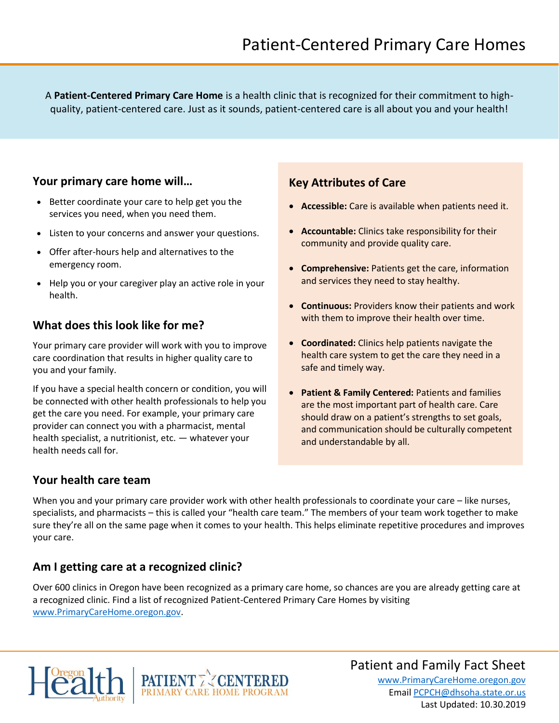A **Patient-Centered Primary Care Home** is a health clinic that is recognized for their commitment to highquality, patient-centered care. Just as it sounds, patient-centered care is all about you and your health!

#### **Your primary care home will…**

- Better coordinate your care to help get you the services you need, when you need them.
- Listen to your concerns and answer your questions.
- Offer after-hours help and alternatives to the emergency room.
- Help you or your caregiver play an active role in your health.

### **What does this look like for me?**

Your primary care provider will work with you to improve care coordination that results in higher quality care to you and your family.

If you have a special health concern or condition, you will be connected with other health professionals to help you get the care you need. For example, your primary care provider can connect you with a pharmacist, mental health specialist, a nutritionist, etc. — whatever your health needs call for.

#### **Key Attributes of Care**

- **Accessible:** Care is available when patients need it.
- **Accountable:** Clinics take responsibility for their community and provide quality care.
- **Comprehensive:** Patients get the care, information and services they need to stay healthy.
- **Continuous:** Providers know their patients and work with them to improve their health over time.
- **Coordinated:** Clinics help patients navigate the health care system to get the care they need in a safe and timely way.
- **Patient & Family Centered:** Patients and families are the most important part of health care. Care should draw on a patient's strengths to set goals, and communication should be culturally competent and understandable by all.

### **Your health care team**

When you and your primary care provider work with other health professionals to coordinate your care – like nurses, specialists, and pharmacists – this is called your "health care team." The members of your team work together to make sure they're all on the same page when it comes to your health. This helps eliminate repetitive procedures and improves your care.

### **Am I getting care at a recognized clinic?**

Over 600 clinics in Oregon have been recognized as a primary care home, so chances are you are already getting care at a recognized clinic. Find a list of recognized Patient-Centered Primary Care Homes by visiting www.PrimaryCareHome.oregon.gov.





# Patient and Family Fact Sheet

www.PrimaryCareHome.oregon.gov Email PCPCH@dhsoha.state.or.us Last Updated: 10.30.2019